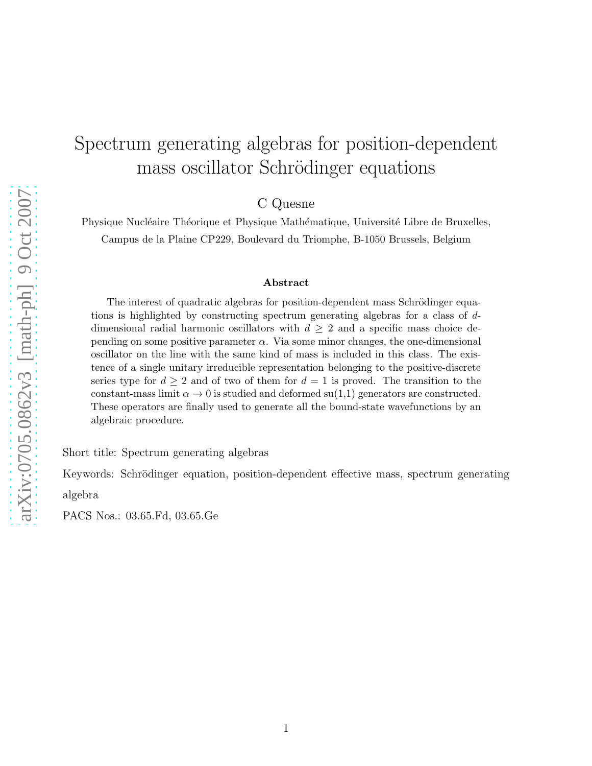# Spectrum generating algebras for position-dependent mass oscillator Schrödinger equations

C Quesne

Physique Nucléaire Théorique et Physique Mathématique, Université Libre de Bruxelles, Campus de la Plaine CP229, Boulevard du Triomphe, B-1050 Brussels, Belgium

#### Abstract

The interest of quadratic algebras for position-dependent mass Schrödinger equations is highlighted by constructing spectrum generating algebras for a class of ddimensional radial harmonic oscillators with  $d \geq 2$  and a specific mass choice depending on some positive parameter  $\alpha$ . Via some minor changes, the one-dimensional oscillator on the line with the same kind of mass is included in this class. The existence of a single unitary irreducible representation belonging to the positive-discrete series type for  $d \geq 2$  and of two of them for  $d = 1$  is proved. The transition to the constant-mass limit  $\alpha \to 0$  is studied and deformed su(1,1) generators are constructed. These operators are finally used to generate all the bound-state wavefunctions by an algebraic procedure.

Short title: Spectrum generating algebras

Keywords: Schrödinger equation, position-dependent effective mass, spectrum generating

algebra

PACS Nos.: 03.65.Fd, 03.65.Ge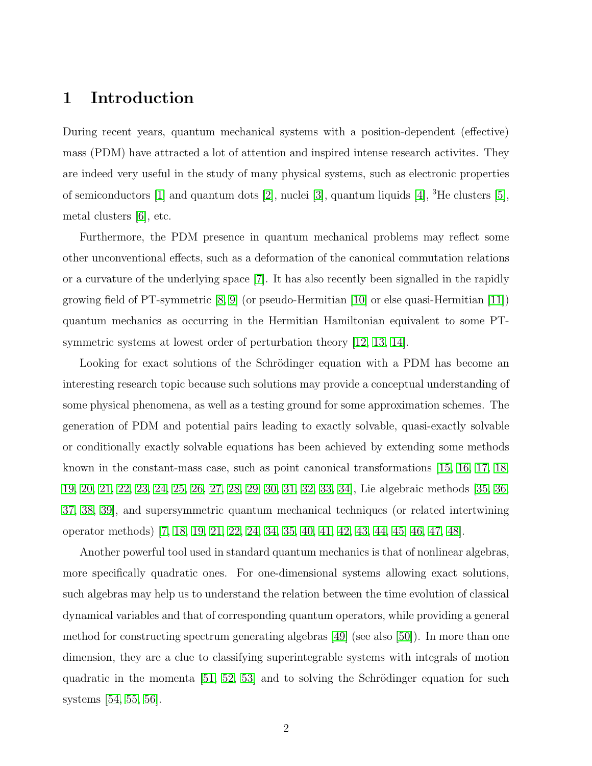### 1 Introduction

During recent years, quantum mechanical systems with a position-dependent (effective) mass (PDM) have attracted a lot of attention and inspired intense research activites. They are indeed very useful in the study of many physical systems, such as electronic properties of semiconductors [\[1\]](#page-17-0) and quantum dots [\[2\]](#page-17-1), nuclei [\[3\]](#page-17-2), quantum liquids [\[4\]](#page-17-3), <sup>3</sup>He clusters [\[5\]](#page-17-4), metal clusters [\[6\]](#page-17-5), etc.

Furthermore, the PDM presence in quantum mechanical problems may reflect some other unconventional effects, such as a deformation of the canonical commutation relations or a curvature of the underlying space [\[7\]](#page-17-6). It has also recently been signalled in the rapidly growing field of PT-symmetric  $[8, 9]$  $[8, 9]$  (or pseudo-Hermitian  $[10]$  or else quasi-Hermitian  $[11]$ ) quantum mechanics as occurring in the Hermitian Hamiltonian equivalent to some PTsymmetric systems at lowest order of perturbation theory [\[12,](#page-17-11) [13,](#page-17-12) [14\]](#page-17-13).

Looking for exact solutions of the Schrödinger equation with a PDM has become an interesting research topic because such solutions may provide a conceptual understanding of some physical phenomena, as well as a testing ground for some approximation schemes. The generation of PDM and potential pairs leading to exactly solvable, quasi-exactly solvable or conditionally exactly solvable equations has been achieved by extending some methods known in the constant-mass case, such as point canonical transformations [\[15,](#page-17-14) [16,](#page-17-15) [17,](#page-17-16) [18,](#page-17-17) [19,](#page-18-0) [20,](#page-18-1) [21,](#page-18-2) [22,](#page-18-3) [23,](#page-18-4) [24,](#page-18-5) [25,](#page-18-6) [26,](#page-18-7) [27,](#page-18-8) [28,](#page-18-9) [29,](#page-18-10) [30,](#page-18-11) [31,](#page-18-12) [32,](#page-18-13) [33,](#page-18-14) [34\]](#page-18-15), Lie algebraic methods [\[35,](#page-18-16) [36,](#page-18-17) [37,](#page-18-18) [38,](#page-18-19) [39\]](#page-19-0), and supersymmetric quantum mechanical techniques (or related intertwining operator methods) [\[7,](#page-17-6) [18,](#page-17-17) [19,](#page-18-0) [21,](#page-18-2) [22,](#page-18-3) [24,](#page-18-5) [34,](#page-18-15) [35,](#page-18-16) [40,](#page-19-1) [41,](#page-19-2) [42,](#page-19-3) [43,](#page-19-4) [44,](#page-19-5) [45,](#page-19-6) [46,](#page-19-7) [47,](#page-19-8) [48\]](#page-19-9).

Another powerful tool used in standard quantum mechanics is that of nonlinear algebras, more specifically quadratic ones. For one-dimensional systems allowing exact solutions, such algebras may help us to understand the relation between the time evolution of classical dynamical variables and that of corresponding quantum operators, while providing a general method for constructing spectrum generating algebras [\[49\]](#page-19-10) (see also [\[50\]](#page-19-11)). In more than one dimension, they are a clue to classifying superintegrable systems with integrals of motion quadratic in the momenta  $[51, 52, 53]$  $[51, 52, 53]$  $[51, 52, 53]$  and to solving the Schrödinger equation for such systems [\[54,](#page-19-15) [55,](#page-19-16) [56\]](#page-19-17).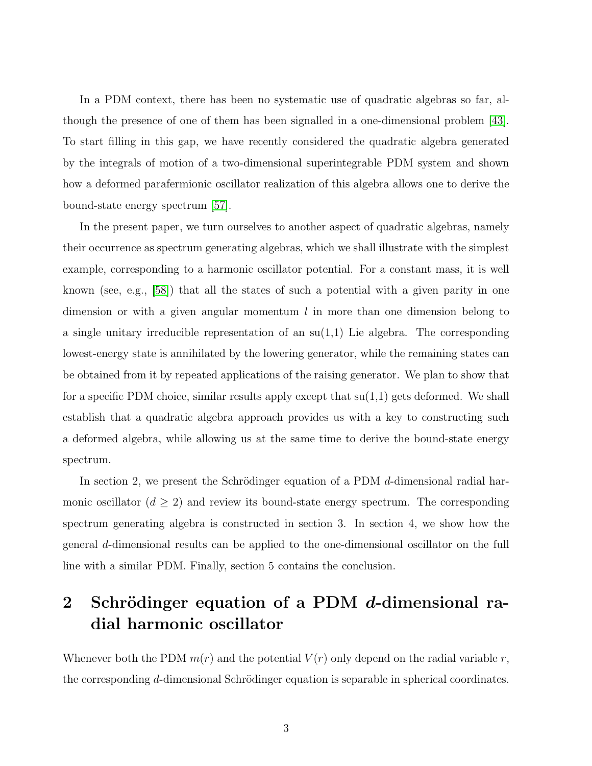In a PDM context, there has been no systematic use of quadratic algebras so far, although the presence of one of them has been signalled in a one-dimensional problem [\[43\]](#page-19-4). To start filling in this gap, we have recently considered the quadratic algebra generated by the integrals of motion of a two-dimensional superintegrable PDM system and shown how a deformed parafermionic oscillator realization of this algebra allows one to derive the bound-state energy spectrum [\[57\]](#page-20-0).

In the present paper, we turn ourselves to another aspect of quadratic algebras, namely their occurrence as spectrum generating algebras, which we shall illustrate with the simplest example, corresponding to a harmonic oscillator potential. For a constant mass, it is well known (see, e.g., [\[58\]](#page-20-1)) that all the states of such a potential with a given parity in one dimension or with a given angular momentum  $l$  in more than one dimension belong to a single unitary irreducible representation of an  $su(1,1)$  Lie algebra. The corresponding lowest-energy state is annihilated by the lowering generator, while the remaining states can be obtained from it by repeated applications of the raising generator. We plan to show that for a specific PDM choice, similar results apply except that  $su(1,1)$  gets deformed. We shall establish that a quadratic algebra approach provides us with a key to constructing such a deformed algebra, while allowing us at the same time to derive the bound-state energy spectrum.

In section 2, we present the Schrödinger equation of a PDM  $d$ -dimensional radial harmonic oscillator  $(d \geq 2)$  and review its bound-state energy spectrum. The corresponding spectrum generating algebra is constructed in section 3. In section 4, we show how the general d-dimensional results can be applied to the one-dimensional oscillator on the full line with a similar PDM. Finally, section 5 contains the conclusion.

## 2 Schrödinger equation of a PDM  $d$ -dimensional radial harmonic oscillator

Whenever both the PDM  $m(r)$  and the potential  $V(r)$  only depend on the radial variable r, the corresponding d-dimensional Schrödinger equation is separable in spherical coordinates.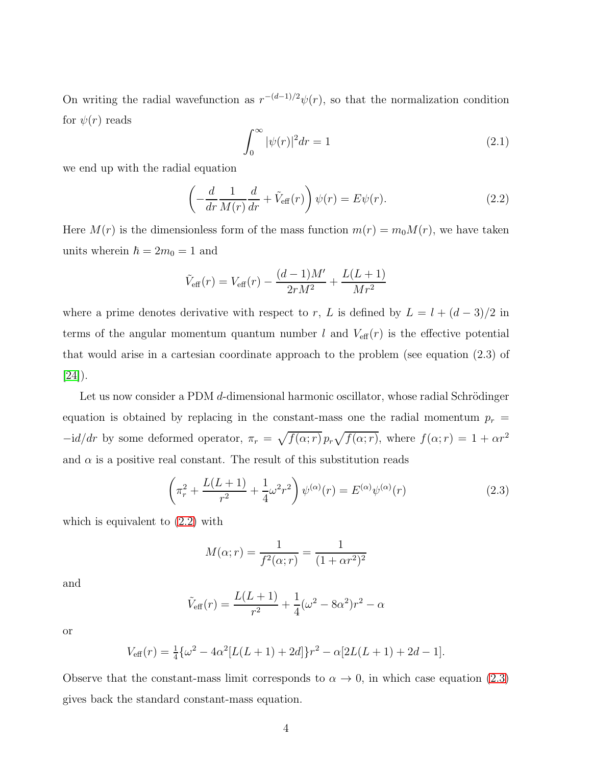On writing the radial wavefunction as  $r^{-(d-1)/2}\psi(r)$ , so that the normalization condition for  $\psi(r)$  reads

<span id="page-3-2"></span>
$$
\int_0^\infty |\psi(r)|^2 dr = 1\tag{2.1}
$$

we end up with the radial equation

<span id="page-3-0"></span>
$$
\left(-\frac{d}{dr}\frac{1}{M(r)}\frac{d}{dr} + \tilde{V}_{\text{eff}}(r)\right)\psi(r) = E\psi(r). \tag{2.2}
$$

Here  $M(r)$  is the dimensionless form of the mass function  $m(r) = m_0 M(r)$ , we have taken units wherein  $\hbar = 2m_0 = 1$  and

$$
\tilde{V}_{\text{eff}}(r) = V_{\text{eff}}(r) - \frac{(d-1)M'}{2rM^2} + \frac{L(L+1)}{Mr^2}
$$

where a prime denotes derivative with respect to r, L is defined by  $L = l + (d - 3)/2$  in terms of the angular momentum quantum number l and  $V_{\text{eff}}(r)$  is the effective potential that would arise in a cartesian coordinate approach to the problem (see equation (2.3) of  $[24]$ ).

Let us now consider a PDM d-dimensional harmonic oscillator, whose radial Schrödinger equation is obtained by replacing in the constant-mass one the radial momentum  $p_r =$  $-i d/dr$  by some deformed operator,  $\pi_r = \sqrt{f(\alpha; r)} p_r \sqrt{f(\alpha; r)}$ , where  $f(\alpha; r) = 1 + \alpha r^2$ and  $\alpha$  is a positive real constant. The result of this substitution reads

<span id="page-3-1"></span>
$$
\left(\pi_r^2 + \frac{L(L+1)}{r^2} + \frac{1}{4}\omega^2 r^2\right)\psi^{(\alpha)}(r) = E^{(\alpha)}\psi^{(\alpha)}(r)
$$
\n(2.3)

which is equivalent to [\(2.2\)](#page-3-0) with

$$
M(\alpha; r) = \frac{1}{f^2(\alpha; r)} = \frac{1}{(1 + \alpha r^2)^2}
$$

and

$$
\tilde{V}_{\text{eff}}(r) = \frac{L(L+1)}{r^2} + \frac{1}{4}(\omega^2 - 8\alpha^2)r^2 - \alpha
$$

or

$$
V_{\text{eff}}(r) = \frac{1}{4} \{ \omega^2 - 4\alpha^2 [L(L+1) + 2d] \} r^2 - \alpha [2L(L+1) + 2d - 1].
$$

Observe that the constant-mass limit corresponds to  $\alpha \to 0$ , in which case equation [\(2.3\)](#page-3-1) gives back the standard constant-mass equation.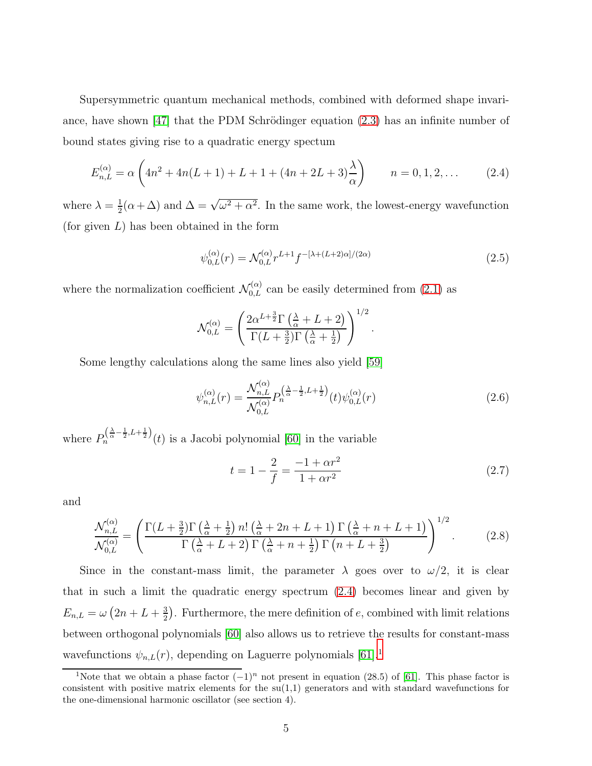Supersymmetric quantum mechanical methods, combined with deformed shape invari-ance, have shown [\[47\]](#page-19-8) that the PDM Schrödinger equation  $(2.3)$  has an infinite number of bound states giving rise to a quadratic energy spectum

<span id="page-4-0"></span>
$$
E_{n,L}^{(\alpha)} = \alpha \left( 4n^2 + 4n(L+1) + L + 1 + (4n + 2L + 3) \frac{\lambda}{\alpha} \right) \qquad n = 0, 1, 2, \dots \tag{2.4}
$$

where  $\lambda = \frac{1}{2}$  $\frac{1}{2}(\alpha+\Delta)$  and  $\Delta=\sqrt{\omega^2+\alpha^2}$ . In the same work, the lowest-energy wavefunction (for given  $L$ ) has been obtained in the form

<span id="page-4-5"></span>
$$
\psi_{0,L}^{(\alpha)}(r) = \mathcal{N}_{0,L}^{(\alpha)} r^{L+1} f^{-[\lambda + (L+2)\alpha]/(2\alpha)} \tag{2.5}
$$

where the normalization coefficient  $\mathcal{N}_{0,L}^{(\alpha)}$  can be easily determined from [\(2.1\)](#page-3-2) as

$$
\mathcal{N}_{0,L}^{(\alpha)} = \left(\frac{2\alpha^{L+\frac{3}{2}}\Gamma\left(\frac{\lambda}{\alpha} + L + 2\right)}{\Gamma(L+\frac{3}{2})\Gamma\left(\frac{\lambda}{\alpha} + \frac{1}{2}\right)}\right)^{1/2}.
$$

Some lengthy calculations along the same lines also yield [\[59\]](#page-20-2)

<span id="page-4-4"></span>
$$
\psi_{n,L}^{(\alpha)}(r) = \frac{\mathcal{N}_{n,L}^{(\alpha)}}{\mathcal{N}_{0,L}^{(\alpha)}} P_n^{\left(\frac{\lambda}{\alpha} - \frac{1}{2}, L + \frac{1}{2}\right)}(t) \psi_{0,L}^{(\alpha)}(r) \tag{2.6}
$$

where  $P_n^{\left(\frac{\lambda}{\alpha}-\frac{1}{2},L+\frac{1}{2}\right)}(t)$  is a Jacobi polynomial [\[60\]](#page-20-3) in the variable

<span id="page-4-2"></span>
$$
t = 1 - \frac{2}{f} = \frac{-1 + \alpha r^2}{1 + \alpha r^2} \tag{2.7}
$$

and

<span id="page-4-3"></span>
$$
\frac{\mathcal{N}_{n,L}^{(\alpha)}}{\mathcal{N}_{0,L}^{(\alpha)}} = \left(\frac{\Gamma(L+\frac{3}{2})\Gamma\left(\frac{\lambda}{\alpha}+\frac{1}{2}\right)n!\left(\frac{\lambda}{\alpha}+2n+L+1\right)\Gamma\left(\frac{\lambda}{\alpha}+n+L+1\right)}{\Gamma\left(\frac{\lambda}{\alpha}+L+2\right)\Gamma\left(\frac{\lambda}{\alpha}+n+\frac{1}{2}\right)\Gamma\left(n+L+\frac{3}{2}\right)}\right)^{1/2}.\tag{2.8}
$$

Since in the constant-mass limit, the parameter  $\lambda$  goes over to  $\omega/2$ , it is clear that in such a limit the quadratic energy spectrum [\(2.4\)](#page-4-0) becomes linear and given by  $E_{n,L} = \omega (2n + L + \frac{3}{2})$  $\frac{3}{2}$ . Furthermore, the mere definition of e, combined with limit relations between orthogonal polynomials [\[60\]](#page-20-3) also allows us to retrieve the results for constant-mass wavefunctions  $\psi_{n,L}(r)$ , depending on Laguerre polynomials [\[61\]](#page-20-4).<sup>[1](#page-4-1)</sup>

<span id="page-4-1"></span><sup>&</sup>lt;sup>1</sup>Note that we obtain a phase factor  $(-1)^n$  not present in equation (28.5) of [\[61\]](#page-20-4). This phase factor is consistent with positive matrix elements for the  $su(1,1)$  generators and with standard wavefunctions for the one-dimensional harmonic oscillator (see section 4).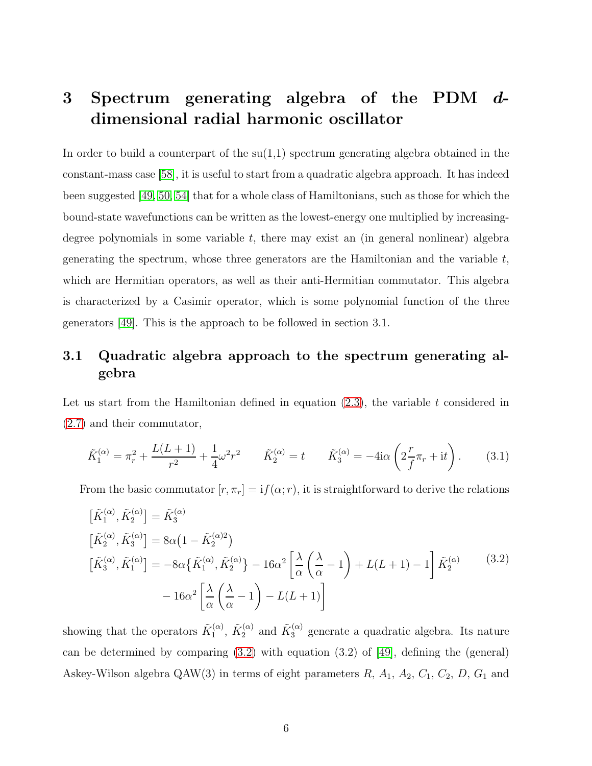## 3 Spectrum generating algebra of the PDM ddimensional radial harmonic oscillator

In order to build a counterpart of the  $su(1,1)$  spectrum generating algebra obtained in the constant-mass case [\[58\]](#page-20-1), it is useful to start from a quadratic algebra approach. It has indeed been suggested [\[49,](#page-19-10) [50,](#page-19-11) [54\]](#page-19-15) that for a whole class of Hamiltonians, such as those for which the bound-state wavefunctions can be written as the lowest-energy one multiplied by increasingdegree polynomials in some variable t, there may exist an (in general nonlinear) algebra generating the spectrum, whose three generators are the Hamiltonian and the variable t, which are Hermitian operators, as well as their anti-Hermitian commutator. This algebra is characterized by a Casimir operator, which is some polynomial function of the three generators [\[49\]](#page-19-10). This is the approach to be followed in section 3.1.

### 3.1 Quadratic algebra approach to the spectrum generating algebra

Let us start from the Hamiltonian defined in equation  $(2.3)$ , the variable t considered in [\(2.7\)](#page-4-2) and their commutator,

<span id="page-5-1"></span>
$$
\tilde{K}_1^{(\alpha)} = \pi_r^2 + \frac{L(L+1)}{r^2} + \frac{1}{4}\omega^2 r^2 \qquad \tilde{K}_2^{(\alpha)} = t \qquad \tilde{K}_3^{(\alpha)} = -4i\alpha \left(2\frac{r}{f}\pi_r + it\right). \tag{3.1}
$$

From the basic commutator  $[r, \pi_r] = if(\alpha; r)$ , it is straightforward to derive the relations

<span id="page-5-0"></span>
$$
\begin{aligned}\n\left[\tilde{K}_{1}^{(\alpha)}, \tilde{K}_{2}^{(\alpha)}\right] &= \tilde{K}_{3}^{(\alpha)} \\
\left[\tilde{K}_{2}^{(\alpha)}, \tilde{K}_{3}^{(\alpha)}\right] &= 8\alpha \left(1 - \tilde{K}_{2}^{(\alpha)}\right) \\
\left[\tilde{K}_{3}^{(\alpha)}, \tilde{K}_{1}^{(\alpha)}\right] &= -8\alpha \left\{\tilde{K}_{1}^{(\alpha)}, \tilde{K}_{2}^{(\alpha)}\right\} - 16\alpha^{2} \left[\frac{\lambda}{\alpha} \left(\frac{\lambda}{\alpha} - 1\right) + L(L+1) - 1\right] \tilde{K}_{2}^{(\alpha)}\n\end{aligned} \tag{3.2}
$$
\n
$$
- 16\alpha^{2} \left[\frac{\lambda}{\alpha} \left(\frac{\lambda}{\alpha} - 1\right) - L(L+1)\right]
$$

showing that the operators  $\tilde{K}_1^{(\alpha)}$  $\tilde{K}_1^{(\alpha)}$ ,  $\tilde{K}_2^{(\alpha)}$  and  $\tilde{K}_3^{(\alpha)}$  generate a quadratic algebra. Its nature can be determined by comparing  $(3.2)$  with equation  $(3.2)$  of [\[49\]](#page-19-10), defining the (general) Askey-Wilson algebra  $\mathbb{Q}AW(3)$  in terms of eight parameters  $R$ ,  $A_1$ ,  $A_2$ ,  $C_1$ ,  $C_2$ ,  $D$ ,  $G_1$  and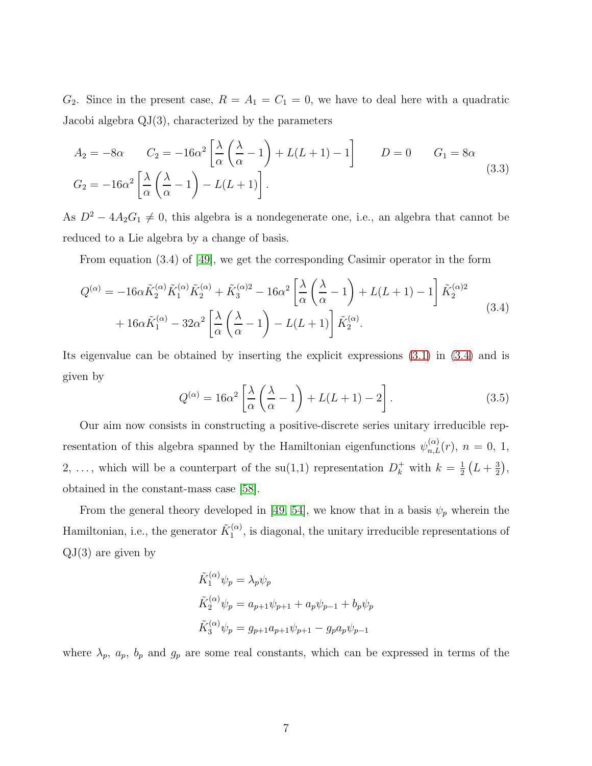$G_2$ . Since in the present case,  $R = A_1 = C_1 = 0$ , we have to deal here with a quadratic Jacobi algebra QJ(3), characterized by the parameters

<span id="page-6-1"></span>
$$
A_2 = -8\alpha \qquad C_2 = -16\alpha^2 \left[ \frac{\lambda}{\alpha} \left( \frac{\lambda}{\alpha} - 1 \right) + L(L+1) - 1 \right] \qquad D = 0 \qquad G_1 = 8\alpha
$$
  

$$
G_2 = -16\alpha^2 \left[ \frac{\lambda}{\alpha} \left( \frac{\lambda}{\alpha} - 1 \right) - L(L+1) \right]. \tag{3.3}
$$

As  $D^2 - 4A_2G_1 \neq 0$ , this algebra is a nondegenerate one, i.e., an algebra that cannot be reduced to a Lie algebra by a change of basis.

From equation (3.4) of [\[49\]](#page-19-10), we get the corresponding Casimir operator in the form

<span id="page-6-0"></span>
$$
Q^{(\alpha)} = -16\alpha \tilde{K}_2^{(\alpha)} \tilde{K}_1^{(\alpha)} \tilde{K}_2^{(\alpha)} + \tilde{K}_3^{(\alpha)2} - 16\alpha^2 \left[ \frac{\lambda}{\alpha} \left( \frac{\lambda}{\alpha} - 1 \right) + L(L+1) - 1 \right] \tilde{K}_2^{(\alpha)2}
$$
  
+ 
$$
16\alpha \tilde{K}_1^{(\alpha)} - 32\alpha^2 \left[ \frac{\lambda}{\alpha} \left( \frac{\lambda}{\alpha} - 1 \right) - L(L+1) \right] \tilde{K}_2^{(\alpha)}.
$$
 (3.4)

Its eigenvalue can be obtained by inserting the explicit expressions [\(3.1\)](#page-5-1) in [\(3.4\)](#page-6-0) and is given by

<span id="page-6-2"></span>
$$
Q^{(\alpha)} = 16\alpha^2 \left[ \frac{\lambda}{\alpha} \left( \frac{\lambda}{\alpha} - 1 \right) + L(L+1) - 2 \right].
$$
 (3.5)

Our aim now consists in constructing a positive-discrete series unitary irreducible representation of this algebra spanned by the Hamiltonian eigenfunctions  $\psi_{n,L}^{(\alpha)}(r)$ ,  $n = 0, 1$ , 2, ..., which will be a counterpart of the  $su(1,1)$  representation  $D_k^+$  with  $k = \frac{1}{2}$  $\frac{1}{2}(L+\frac{3}{2}% -L)$  $(\frac{3}{2}),$ obtained in the constant-mass case [\[58\]](#page-20-1).

From the general theory developed in [\[49,](#page-19-10) [54\]](#page-19-15), we know that in a basis  $\psi_p$  wherein the Hamiltonian, i.e., the generator  $\tilde{K}_1^{(\alpha)}$  $\mathcal{L}_1^{(\alpha)}$ , is diagonal, the unitary irreducible representations of  $QJ(3)$  are given by

$$
\tilde{K}_1^{(\alpha)} \psi_p = \lambda_p \psi_p
$$
  

$$
\tilde{K}_2^{(\alpha)} \psi_p = a_{p+1} \psi_{p+1} + a_p \psi_{p-1} + b_p \psi_p
$$
  

$$
\tilde{K}_3^{(\alpha)} \psi_p = g_{p+1} a_{p+1} \psi_{p+1} - g_p a_p \psi_{p-1}
$$

where  $\lambda_p$ ,  $a_p$ ,  $b_p$  and  $g_p$  are some real constants, which can be expressed in terms of the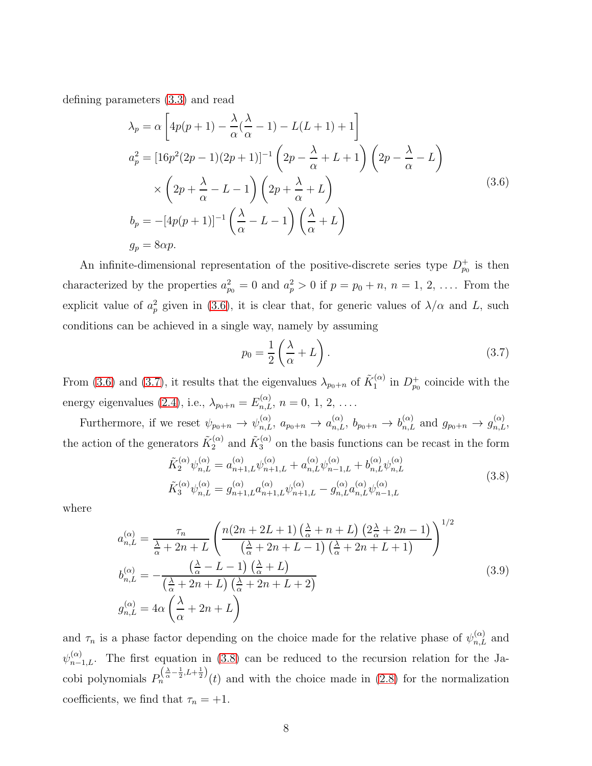<span id="page-7-0"></span>defining parameters [\(3.3\)](#page-6-1) and read

$$
\lambda_p = \alpha \left[ 4p(p+1) - \frac{\lambda}{\alpha} (\frac{\lambda}{\alpha} - 1) - L(L+1) + 1 \right]
$$
  
\n
$$
a_p^2 = \left[ 16p^2(2p-1)(2p+1) \right]^{-1} \left( 2p - \frac{\lambda}{\alpha} + L + 1 \right) \left( 2p - \frac{\lambda}{\alpha} - L \right)
$$
  
\n
$$
\times \left( 2p + \frac{\lambda}{\alpha} - L - 1 \right) \left( 2p + \frac{\lambda}{\alpha} + L \right)
$$
  
\n
$$
b_p = -[4p(p+1)]^{-1} \left( \frac{\lambda}{\alpha} - L - 1 \right) \left( \frac{\lambda}{\alpha} + L \right)
$$
  
\n
$$
g_p = 8\alpha p.
$$
\n(3.6)

An infinite-dimensional representation of the positive-discrete series type  $D_{p_0}^+$  is then characterized by the properties  $a_{p_0}^2 = 0$  and  $a_p^2 > 0$  if  $p = p_0 + n$ ,  $n = 1, 2, \ldots$ . From the explicit value of  $a_p^2$  given in [\(3.6\)](#page-7-0), it is clear that, for generic values of  $\lambda/\alpha$  and L, such conditions can be achieved in a single way, namely by assuming

<span id="page-7-1"></span>
$$
p_0 = \frac{1}{2} \left( \frac{\lambda}{\alpha} + L \right). \tag{3.7}
$$

From [\(3.6\)](#page-7-0) and [\(3.7\)](#page-7-1), it results that the eigenvalues  $\lambda_{p_0+n}$  of  $\tilde{K}_1^{(\alpha)}$  $1^{(\alpha)}$  in  $D_{p_0}^+$  coincide with the energy eigenvalues [\(2.4\)](#page-4-0), i.e.,  $\lambda_{p_0+n} = E_{n,L}^{(\alpha)}$ ,  $n = 0, 1, 2, \ldots$ .

Furthermore, if we reset  $\psi_{p_0+n} \to \psi_{n,L}^{(\alpha)}$ ,  $a_{p_0+n} \to a_{n,L}^{(\alpha)}$ ,  $b_{p_0+n} \to b_{n,L}^{(\alpha)}$  and  $g_{p_0+n} \to g_{n,L}^{(\alpha)}$ , the action of the generators  $\tilde{K}_2^{(\alpha)}$  and  $\tilde{K}_3^{(\alpha)}$  on the basis functions can be recast in the form

$$
\tilde{K}_{2}^{(\alpha)}\psi_{n,L}^{(\alpha)} = a_{n+1,L}^{(\alpha)}\psi_{n+1,L}^{(\alpha)} + a_{n,L}^{(\alpha)}\psi_{n-1,L}^{(\alpha)} + b_{n,L}^{(\alpha)}\psi_{n,L}^{(\alpha)} \n\tilde{K}_{3}^{(\alpha)}\psi_{n,L}^{(\alpha)} = g_{n+1,L}^{(\alpha)}a_{n+1,L}^{(\alpha)}\psi_{n+1,L}^{(\alpha)} - g_{n,L}^{(\alpha)}a_{n,L}^{(\alpha)}\psi_{n-1,L}^{(\alpha)}
$$
\n(3.8)

<span id="page-7-3"></span><span id="page-7-2"></span>where

$$
a_{n,L}^{(\alpha)} = \frac{\tau_n}{\frac{\lambda}{\alpha} + 2n + L} \left( \frac{n(2n + 2L + 1) \left(\frac{\lambda}{\alpha} + n + L\right) \left(2\frac{\lambda}{\alpha} + 2n - 1\right)}{\left(\frac{\lambda}{\alpha} + 2n + L - 1\right) \left(\frac{\lambda}{\alpha} + 2n + L + 1\right)} \right)^{1/2}
$$
  
\n
$$
b_{n,L}^{(\alpha)} = -\frac{\left(\frac{\lambda}{\alpha} - L - 1\right) \left(\frac{\lambda}{\alpha} + L\right)}{\left(\frac{\lambda}{\alpha} + 2n + L\right) \left(\frac{\lambda}{\alpha} + 2n + L + 2\right)}
$$
  
\n
$$
g_{n,L}^{(\alpha)} = 4\alpha \left(\frac{\lambda}{\alpha} + 2n + L\right)
$$
\n(3.9)

and  $\tau_n$  is a phase factor depending on the choice made for the relative phase of  $\psi_{n,L}^{(\alpha)}$  and  $\psi_{n-1,L}^{(\alpha)}$ . The first equation in [\(3.8\)](#page-7-2) can be reduced to the recursion relation for the Jacobi polynomials  $P_n^{\left(\frac{\lambda}{\alpha}-\frac{1}{2},L+\frac{1}{2}\right)}(t)$  and with the choice made in [\(2.8\)](#page-4-3) for the normalization coefficients, we find that  $\tau_n = +1$ .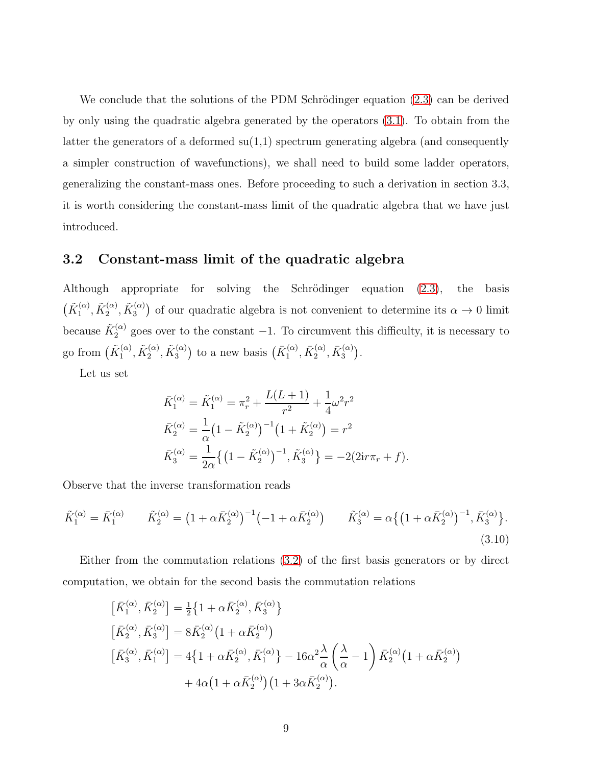We conclude that the solutions of the PDM Schrödinger equation [\(2.3\)](#page-3-1) can be derived by only using the quadratic algebra generated by the operators [\(3.1\)](#page-5-1). To obtain from the latter the generators of a deformed  $su(1,1)$  spectrum generating algebra (and consequently a simpler construction of wavefunctions), we shall need to build some ladder operators, generalizing the constant-mass ones. Before proceeding to such a derivation in section 3.3, it is worth considering the constant-mass limit of the quadratic algebra that we have just introduced.

#### 3.2 Constant-mass limit of the quadratic algebra

Although appropriate for solving the Schrödinger equation  $(2.3)$ , the basis  $(\tilde{K}^{(\alpha)}_1)$  $\tilde{\Lambda}_1^{(\alpha)},\tilde{K}_2^{(\alpha)}$  $\tilde{\alpha}_2^{(\alpha)},\tilde{K}^{(\alpha)}_3$  $\binom{\alpha}{3}$  of our quadratic algebra is not convenient to determine its  $\alpha \to 0$  limit because  $\tilde{K}_2^{(\alpha)}$  goes over to the constant  $-1$ . To circumvent this difficulty, it is necessary to go from  $(\tilde{K}^{(\alpha)}_1)$  $\tilde{\Lambda}_1^{(\alpha)},\tilde{K}_2^{(\alpha)}$  $\tilde{\alpha}_2^{(\alpha)},\tilde{K}^{(\alpha)}_3$  $\binom{(\alpha)}{3}$  to a new basis  $\left(\bar{K}_1^{(\alpha)}\right)$  $\bar{K}_1^{(\alpha)},\bar{K}_2^{(\alpha)}$  $\bar{K}^{(\alpha)}_2, \bar{K}^{(\alpha)}_3$  $\binom{(\alpha)}{3}$ .

Let us set

$$
\begin{aligned}\n\bar{K}_1^{(\alpha)} &= \tilde{K}_1^{(\alpha)} = \pi_r^2 + \frac{L(L+1)}{r^2} + \frac{1}{4}\omega^2 r^2 \\
\bar{K}_2^{(\alpha)} &= \frac{1}{\alpha} \left(1 - \tilde{K}_2^{(\alpha)}\right)^{-1} \left(1 + \tilde{K}_2^{(\alpha)}\right) = r^2 \\
\bar{K}_3^{(\alpha)} &= \frac{1}{2\alpha} \left\{ \left(1 - \tilde{K}_2^{(\alpha)}\right)^{-1}, \tilde{K}_3^{(\alpha)} \right\} = -2(2\mathrm{i} r\pi_r + f).\n\end{aligned}
$$

Observe that the inverse transformation reads

<span id="page-8-0"></span>
$$
\tilde{K}_1^{(\alpha)} = \bar{K}_1^{(\alpha)} \qquad \tilde{K}_2^{(\alpha)} = \left(1 + \alpha \bar{K}_2^{(\alpha)}\right)^{-1} \left(-1 + \alpha \bar{K}_2^{(\alpha)}\right) \qquad \tilde{K}_3^{(\alpha)} = \alpha \left\{ \left(1 + \alpha \bar{K}_2^{(\alpha)}\right)^{-1}, \bar{K}_3^{(\alpha)}\right\}.
$$
\n(3.10)

Either from the commutation relations [\(3.2\)](#page-5-0) of the first basis generators or by direct computation, we obtain for the second basis the commutation relations

$$
\begin{aligned}\n\left[\bar{K}_{1}^{(\alpha)}, \bar{K}_{2}^{(\alpha)}\right] &= \frac{1}{2} \left\{ 1 + \alpha \bar{K}_{2}^{(\alpha)}, \bar{K}_{3}^{(\alpha)} \right\} \\
\left[\bar{K}_{2}^{(\alpha)}, \bar{K}_{3}^{(\alpha)}\right] &= 8 \bar{K}_{2}^{(\alpha)} \left( 1 + \alpha \bar{K}_{2}^{(\alpha)} \right) \\
\left[\bar{K}_{3}^{(\alpha)}, \bar{K}_{1}^{(\alpha)}\right] &= 4 \left\{ 1 + \alpha \bar{K}_{2}^{(\alpha)}, \bar{K}_{1}^{(\alpha)} \right\} - 16\alpha^{2} \frac{\lambda}{\alpha} \left( \frac{\lambda}{\alpha} - 1 \right) \bar{K}_{2}^{(\alpha)} \left( 1 + \alpha \bar{K}_{2}^{(\alpha)} \right) \\
&\quad + 4\alpha \left( 1 + \alpha \bar{K}_{2}^{(\alpha)} \right) \left( 1 + 3\alpha \bar{K}_{2}^{(\alpha)} \right).\n\end{aligned}
$$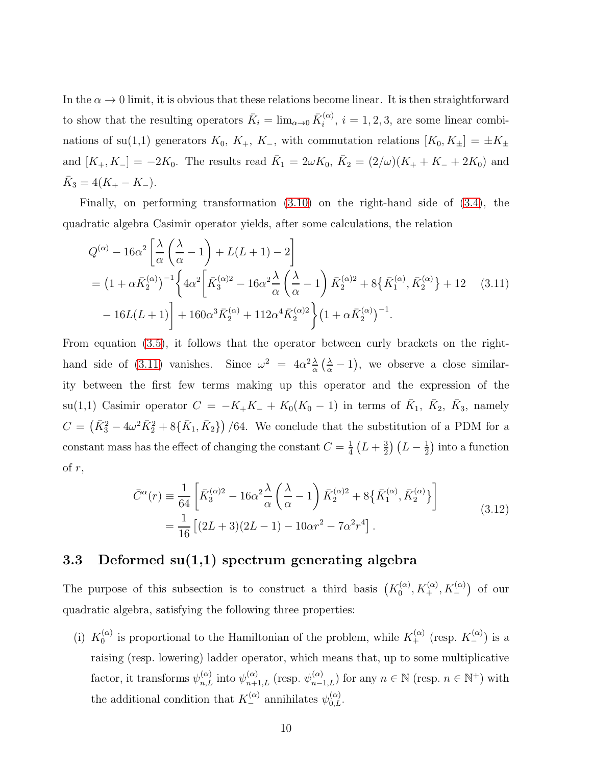In the  $\alpha \to 0$  limit, it is obvious that these relations become linear. It is then straightforward to show that the resulting operators  $\bar{K}_i = \lim_{\alpha \to 0} \bar{K}_i^{(\alpha)}$  $i^{(\alpha)}$ ,  $i = 1, 2, 3$ , are some linear combinations of su(1,1) generators  $K_0$ ,  $K_+$ ,  $K_-$ , with commutation relations  $[K_0, K_{\pm}] = \pm K_{\pm}$ and  $[K_+, K_-] = -2K_0$ . The results read  $\bar{K}_1 = 2\omega K_0$ ,  $\bar{K}_2 = (2/\omega)(K_+ + K_- + 2K_0)$  and  $\bar{K}_3 = 4(K_{+} - K_{-}).$ 

Finally, on performing transformation [\(3.10\)](#page-8-0) on the right-hand side of [\(3.4\)](#page-6-0), the quadratic algebra Casimir operator yields, after some calculations, the relation

<span id="page-9-0"></span>
$$
Q^{(\alpha)} - 16\alpha^2 \left[ \frac{\lambda}{\alpha} \left( \frac{\lambda}{\alpha} - 1 \right) + L(L+1) - 2 \right]
$$
  
=  $(1 + \alpha \bar{K}_2^{(\alpha)})^{-1} \left\{ 4\alpha^2 \left[ \bar{K}_3^{(\alpha)2} - 16\alpha^2 \frac{\lambda}{\alpha} \left( \frac{\lambda}{\alpha} - 1 \right) \bar{K}_2^{(\alpha)2} + 8 \{ \bar{K}_1^{(\alpha)}, \bar{K}_2^{(\alpha)} \} + 12 \right. (3.11)-  $16L(L+1) \right\} + 160\alpha^3 \bar{K}_2^{(\alpha)} + 112\alpha^4 \bar{K}_2^{(\alpha)2} \left\} (1 + \alpha \bar{K}_2^{(\alpha)})^{-1}.$$ 

From equation [\(3.5\)](#page-6-2), it follows that the operator between curly brackets on the right-hand side of [\(3.11\)](#page-9-0) vanishes. Since  $\omega^2 = 4\alpha^2 \frac{\lambda}{\alpha}$  $\frac{\lambda}{\alpha} \left( \frac{\lambda}{\alpha} - 1 \right)$ , we observe a close similarity between the first few terms making up this operator and the expression of the su(1,1) Casimir operator  $C = -K_+K_- + K_0(K_0 - 1)$  in terms of  $\bar{K}_1$ ,  $\bar{K}_2$ ,  $\bar{K}_3$ , namely  $C = (\bar{K}_3^2 - 4\omega^2 \bar{K}_2^2 + 8{\bar{K}_1, \bar{K}_2})$  /64. We conclude that the substitution of a PDM for a constant mass has the effect of changing the constant  $C = \frac{1}{4}$  $rac{1}{4}(L+\frac{3}{2})$  $\frac{3}{2}$  $(L - \frac{1}{2})$  $\frac{1}{2}$ ) into a function of  $r$ ,

$$
\bar{C}^{\alpha}(r) \equiv \frac{1}{64} \left[ \bar{K}_3^{(\alpha)2} - 16\alpha^2 \frac{\lambda}{\alpha} \left( \frac{\lambda}{\alpha} - 1 \right) \bar{K}_2^{(\alpha)2} + 8 \{ \bar{K}_1^{(\alpha)}, \bar{K}_2^{(\alpha)} \} \right]
$$
\n
$$
= \frac{1}{16} \left[ (2L+3)(2L-1) - 10\alpha r^2 - 7\alpha^2 r^4 \right].
$$
\n(3.12)

#### <span id="page-9-1"></span>3.3 Deformed  $su(1,1)$  spectrum generating algebra

The purpose of this subsection is to construct a third basis  $(K_0^{(\alpha)})$  $\delta_0^{(\alpha)},K_+^{(\alpha)},K_-^{(\alpha)})$  of our quadratic algebra, satisfying the following three properties:

(i)  $K_0^{(\alpha)}$  $\chi_0^{(\alpha)}$  is proportional to the Hamiltonian of the problem, while  $K_+^{(\alpha)}$  (resp.  $K_-^{(\alpha)}$ ) is a raising (resp. lowering) ladder operator, which means that, up to some multiplicative factor, it transforms  $\psi_{n,L}^{(\alpha)}$  into  $\psi_{n+1,L}^{(\alpha)}$  (resp.  $\psi_{n-1,L}^{(\alpha)}$ ) for any  $n \in \mathbb{N}$  (resp.  $n \in \mathbb{N}^+$ ) with the additional condition that  $K_{-}^{(\alpha)}$  annihilates  $\psi_{0,L}^{(\alpha)}$ .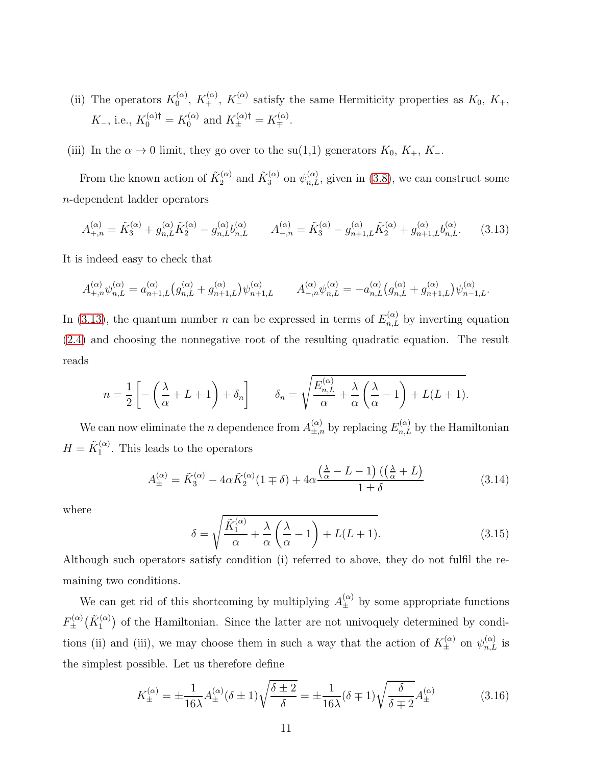- (ii) The operators  $K_0^{(\alpha)}$  $K_0^{(\alpha)}$ ,  $K_+^{(\alpha)}$ ,  $K_-^{(\alpha)}$  satisfy the same Hermiticity properties as  $K_0$ ,  $K_+$ ,  $K_-,$  i.e.,  $K_0^{(\alpha)\dagger} = K_0^{(\alpha)}$  $K_{\pm}^{(\alpha)}$  and  $K_{\pm}^{(\alpha)\dagger} = K_{\mp}^{(\alpha)}$ .
- (iii) In the  $\alpha \to 0$  limit, they go over to the su(1,1) generators  $K_0$ ,  $K_+$ ,  $K_-$ .

From the known action of  $\tilde{K}_2^{(\alpha)}$  and  $\tilde{K}_3^{(\alpha)}$  on  $\psi_{n,L}^{(\alpha)}$ , given in [\(3.8\)](#page-7-2), we can construct some n-dependent ladder operators

<span id="page-10-0"></span>
$$
A_{+,n}^{(\alpha)} = \tilde{K}_3^{(\alpha)} + g_{n,L}^{(\alpha)} \tilde{K}_2^{(\alpha)} - g_{n,L}^{(\alpha)} b_{n,L}^{(\alpha)} \qquad A_{-,n}^{(\alpha)} = \tilde{K}_3^{(\alpha)} - g_{n+1,L}^{(\alpha)} \tilde{K}_2^{(\alpha)} + g_{n+1,L}^{(\alpha)} b_{n,L}^{(\alpha)}.
$$
 (3.13)

It is indeed easy to check that

$$
A_{+,n}^{(\alpha)} \psi_{n,L}^{(\alpha)} = a_{n+1,L}^{(\alpha)} \left( g_{n,L}^{(\alpha)} + g_{n+1,L}^{(\alpha)} \right) \psi_{n+1,L}^{(\alpha)} \qquad A_{-,n}^{(\alpha)} \psi_{n,L}^{(\alpha)} = -a_{n,L}^{(\alpha)} \left( g_{n,L}^{(\alpha)} + g_{n+1,L}^{(\alpha)} \right) \psi_{n-1,L}^{(\alpha)}.
$$

In [\(3.13\)](#page-10-0), the quantum number n can be expressed in terms of  $E_{n,L}^{(\alpha)}$  by inverting equation [\(2.4\)](#page-4-0) and choosing the nonnegative root of the resulting quadratic equation. The result reads

$$
n = \frac{1}{2} \left[ -\left(\frac{\lambda}{\alpha} + L + 1\right) + \delta_n \right] \qquad \delta_n = \sqrt{\frac{E_{n,L}^{(\alpha)}}{\alpha} + \frac{\lambda}{\alpha} \left(\frac{\lambda}{\alpha} - 1\right) + L(L+1)}.
$$

We can now eliminate the *n* dependence from  $A_{\pm,n}^{(\alpha)}$  by replacing  $E_{n,L}^{(\alpha)}$  by the Hamiltonian  $H = \tilde{K}_1^{(\alpha)}$  $1^{(\alpha)}$ . This leads to the operators

<span id="page-10-2"></span>
$$
A_{\pm}^{(\alpha)} = \tilde{K}_3^{(\alpha)} - 4\alpha \tilde{K}_2^{(\alpha)} (1 \mp \delta) + 4\alpha \frac{\left(\frac{\lambda}{\alpha} - L - 1\right) \left(\left(\frac{\lambda}{\alpha} + L\right)\right)}{1 \pm \delta} \tag{3.14}
$$

where

<span id="page-10-3"></span>
$$
\delta = \sqrt{\frac{\tilde{K}_1^{(\alpha)}}{\alpha} + \frac{\lambda}{\alpha} \left(\frac{\lambda}{\alpha} - 1\right) + L(L+1)}.
$$
\n(3.15)

Although such operators satisfy condition (i) referred to above, they do not fulfil the remaining two conditions.

We can get rid of this shortcoming by multiplying  $A_{\pm}^{(\alpha)}$  by some appropriate functions  $F_{\pm}^{(\alpha)}$  $\overset{\cdot (\alpha )}{\pm} \bigl( \tilde{K}_{1}^{(\alpha)}$  $\binom{(\alpha)}{1}$  of the Hamiltonian. Since the latter are not univoquely determined by conditions (ii) and (iii), we may choose them in such a way that the action of  $K_{\pm}^{(\alpha)}$  on  $\psi_{n,L}^{(\alpha)}$  is the simplest possible. Let us therefore define

<span id="page-10-1"></span>
$$
K_{\pm}^{(\alpha)} = \pm \frac{1}{16\lambda} A_{\pm}^{(\alpha)} (\delta \pm 1) \sqrt{\frac{\delta \pm 2}{\delta}} = \pm \frac{1}{16\lambda} (\delta \mp 1) \sqrt{\frac{\delta}{\delta \mp 2}} A_{\pm}^{(\alpha)} \tag{3.16}
$$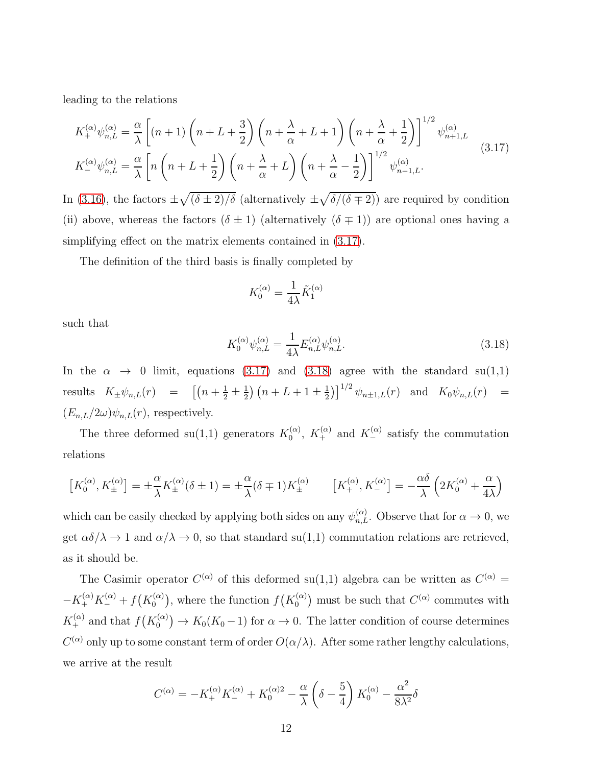leading to the relations

<span id="page-11-0"></span>
$$
K_{+}^{(\alpha)}\psi_{n,L}^{(\alpha)} = \frac{\alpha}{\lambda} \left[ (n+1) \left( n + L + \frac{3}{2} \right) \left( n + \frac{\lambda}{\alpha} + L + 1 \right) \left( n + \frac{\lambda}{\alpha} + \frac{1}{2} \right) \right]^{1/2} \psi_{n+1,L}^{(\alpha)}
$$
\n
$$
K_{-}^{(\alpha)}\psi_{n,L}^{(\alpha)} = \frac{\alpha}{\lambda} \left[ n \left( n + L + \frac{1}{2} \right) \left( n + \frac{\lambda}{\alpha} + L \right) \left( n + \frac{\lambda}{\alpha} - \frac{1}{2} \right) \right]^{1/2} \psi_{n-1,L}^{(\alpha)}.
$$
\n(3.17)

In [\(3.16\)](#page-10-1), the factors  $\pm\sqrt{(\delta\pm 2)/\delta}$  (alternatively  $\pm\sqrt{\delta/(\delta\mp 2)}$ ) are required by condition (ii) above, whereas the factors  $(\delta \pm 1)$  (alternatively  $(\delta \mp 1)$ ) are optional ones having a simplifying effect on the matrix elements contained in  $(3.17)$ .

The definition of the third basis is finally completed by

$$
K_0^{(\alpha)} = \frac{1}{4\lambda} \tilde{K}_1^{(\alpha)}
$$

such that

<span id="page-11-1"></span>
$$
K_0^{(\alpha)} \psi_{n,L}^{(\alpha)} = \frac{1}{4\lambda} E_{n,L}^{(\alpha)} \psi_{n,L}^{(\alpha)}.
$$
\n(3.18)

In the  $\alpha \rightarrow 0$  limit, equations [\(3.17\)](#page-11-0) and [\(3.18\)](#page-11-1) agree with the standard su(1,1) results  $K_{\pm}\psi_{n,L}(r) = \left[ \left(n + \frac{1}{2} \pm \frac{1}{2}\right)\right]$  $\frac{1}{2}$  $\left(n + L + 1 \pm \frac{1}{2}\right)$  $\left[\frac{1}{2}\right]^{1/2} \psi_{n \pm 1,L}(r)$  and  $K_0 \psi_{n,L}(r) =$  $(E_{n,L}/2\omega)\psi_{n,L}(r)$ , respectively.

The three deformed su(1,1) generators  $K_0^{(\alpha)}$  $\chi_0^{(\alpha)}$ ,  $K_+^{(\alpha)}$  and  $K_-^{(\alpha)}$  satisfy the commutation relations

$$
\left[K_0^{(\alpha)}, K_{\pm}^{(\alpha)}\right] = \pm \frac{\alpha}{\lambda} K_{\pm}^{(\alpha)} (\delta \pm 1) = \pm \frac{\alpha}{\lambda} (\delta \mp 1) K_{\pm}^{(\alpha)} \qquad \left[K_{+}^{(\alpha)}, K_{-}^{(\alpha)}\right] = -\frac{\alpha \delta}{\lambda} \left(2K_0^{(\alpha)} + \frac{\alpha}{4\lambda}\right)
$$

which can be easily checked by applying both sides on any  $\psi_{n,L}^{(\alpha)}$ . Observe that for  $\alpha \to 0$ , we get  $\alpha\delta/\lambda \to 1$  and  $\alpha/\lambda \to 0$ , so that standard su(1,1) commutation relations are retrieved, as it should be.

The Casimir operator  $C^{(\alpha)}$  of this deformed su(1,1) algebra can be written as  $C^{(\alpha)}$  =  $-K^{(\alpha)}_+K^{(\alpha)}_-+f(K^{(\alpha)}_0)$  $\binom{\alpha}{0}$ , where the function  $f(K_0^{(\alpha)})$  $\binom{\alpha}{0}$  must be such that  $C^{(\alpha)}$  commutes with  $K_{+}^{(\alpha)}$  and that  $f(K_{0}^{(\alpha)})$  $\binom{\alpha}{0}$   $\rightarrow$   $K_0(K_0-1)$  for  $\alpha \rightarrow 0$ . The latter condition of course determines  $C^{(\alpha)}$  only up to some constant term of order  $O(\alpha/\lambda)$ . After some rather lengthy calculations, we arrive at the result

$$
C^{(\alpha)} = -K_{+}^{(\alpha)}K_{-}^{(\alpha)} + K_{0}^{(\alpha)2} - \frac{\alpha}{\lambda} \left(\delta - \frac{5}{4}\right)K_{0}^{(\alpha)} - \frac{\alpha^{2}}{8\lambda^{2}}\delta
$$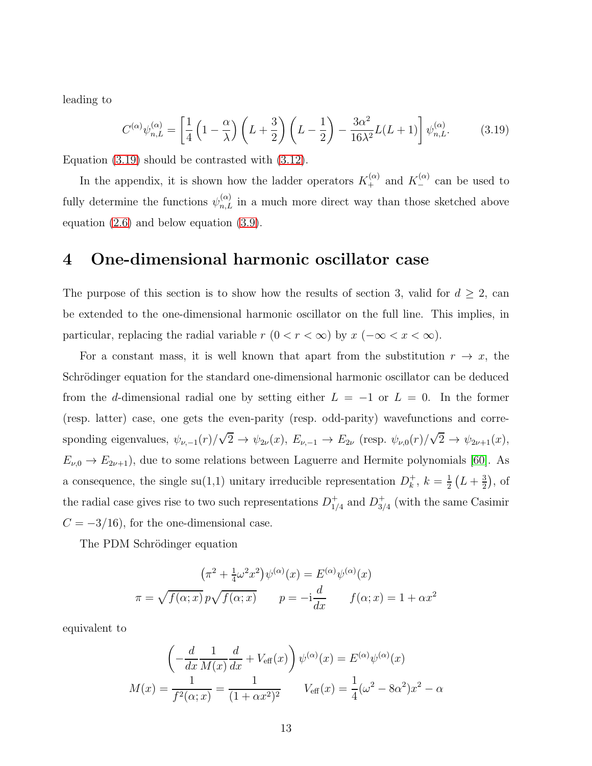leading to

<span id="page-12-0"></span>
$$
C^{(\alpha)}\psi_{n,L}^{(\alpha)} = \left[\frac{1}{4}\left(1-\frac{\alpha}{\lambda}\right)\left(L+\frac{3}{2}\right)\left(L-\frac{1}{2}\right) - \frac{3\alpha^2}{16\lambda^2}L(L+1)\right]\psi_{n,L}^{(\alpha)}.\tag{3.19}
$$

Equation [\(3.19\)](#page-12-0) should be contrasted with [\(3.12\)](#page-9-1).

In the appendix, it is shown how the ladder operators  $K_+^{(\alpha)}$  and  $K_-^{(\alpha)}$  can be used to fully determine the functions  $\psi_{n,L}^{(\alpha)}$  in a much more direct way than those sketched above equation [\(2.6\)](#page-4-4) and below equation [\(3.9\)](#page-7-3).

### 4 One-dimensional harmonic oscillator case

The purpose of this section is to show how the results of section 3, valid for  $d \geq 2$ , can be extended to the one-dimensional harmonic oscillator on the full line. This implies, in particular, replacing the radial variable  $r$   $(0 < r < \infty)$  by  $x$   $(-\infty < x < \infty)$ .

For a constant mass, it is well known that apart from the substitution  $r \to x$ , the Schrödinger equation for the standard one-dimensional harmonic oscillator can be deduced from the d-dimensional radial one by setting either  $L = -1$  or  $L = 0$ . In the former (resp. latter) case, one gets the even-parity (resp. odd-parity) wavefunctions and corresponding eigenvalues,  $\psi_{\nu,-1}(r)/\sqrt{2} \to \psi_{2\nu}(x)$ ,  $E_{\nu,-1} \to E_{2\nu}$  (resp.  $\psi_{\nu,0}(r)/\sqrt{2} \to \psi_{2\nu+1}(x)$ ,  $E_{\nu,0} \to E_{2\nu+1}$ , due to some relations between Laguerre and Hermite polynomials [\[60\]](#page-20-3). As a consequence, the single  $su(1,1)$  unitary irreducible representation  $D<sub>k</sub><sup>+</sup>$  $k^{\dagger}$ ,  $k=\frac{1}{2}$  $\frac{1}{2}(L+\frac{3}{2})$  $(\frac{3}{2}),$  of the radial case gives rise to two such representations  $D_1^+$  $_{1/4}^+$  and  $D_{3/4}^+$  $_{3/4}^+$  (with the same Casimir  $C = -3/16$ , for the one-dimensional case.

The PDM Schrödinger equation

$$
(\pi^2 + \frac{1}{4}\omega^2 x^2)\psi^{(\alpha)}(x) = E^{(\alpha)}\psi^{(\alpha)}(x)
$$

$$
\pi = \sqrt{f(\alpha; x)}p\sqrt{f(\alpha; x)} \qquad p = -i\frac{d}{dx} \qquad f(\alpha; x) = 1 + \alpha x^2
$$

equivalent to

$$
\left(-\frac{d}{dx}\frac{1}{M(x)}\frac{d}{dx} + V_{\text{eff}}(x)\right)\psi^{(\alpha)}(x) = E^{(\alpha)}\psi^{(\alpha)}(x)
$$

$$
M(x) = \frac{1}{f^2(\alpha; x)} = \frac{1}{(1 + \alpha x^2)^2} \qquad V_{\text{eff}}(x) = \frac{1}{4}(\omega^2 - 8\alpha^2)x^2 - \alpha
$$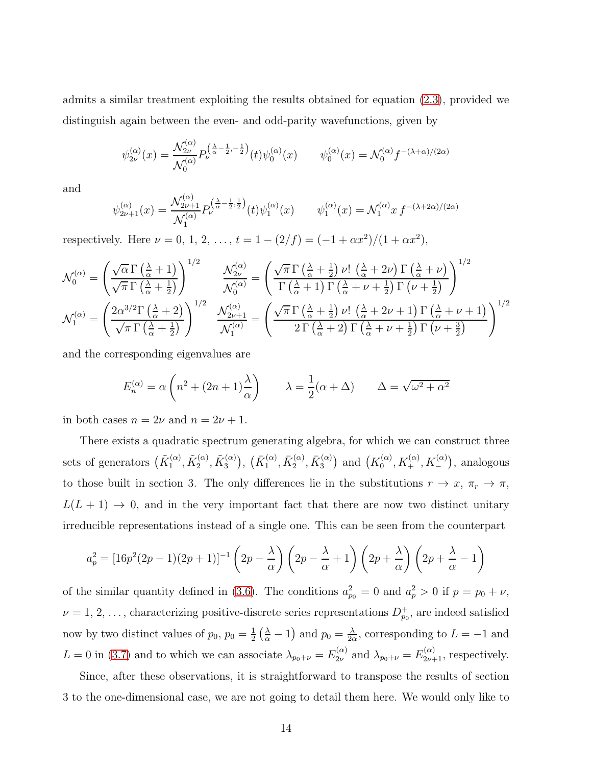admits a similar treatment exploiting the results obtained for equation [\(2.3\)](#page-3-1), provided we distinguish again between the even- and odd-parity wavefunctions, given by

$$
\psi_{2\nu}^{(\alpha)}(x) = \frac{\mathcal{N}_{2\nu}^{(\alpha)}}{\mathcal{N}_0^{(\alpha)}} P_{\nu}^{\left(\frac{\lambda}{\alpha} - \frac{1}{2}, -\frac{1}{2}\right)}(t) \psi_0^{(\alpha)}(x) \qquad \psi_0^{(\alpha)}(x) = \mathcal{N}_0^{(\alpha)} f^{-(\lambda + \alpha)/(2\alpha)}
$$

and

$$
\psi_{2\nu+1}^{(\alpha)}(x) = \frac{\mathcal{N}_{2\nu+1}^{(\alpha)}}{\mathcal{N}_1^{(\alpha)}} P_{\nu}^{(\frac{\lambda}{\alpha} - \frac{1}{2}, \frac{1}{2})}(t) \psi_1^{(\alpha)}(x) \qquad \psi_1^{(\alpha)}(x) = \mathcal{N}_1^{(\alpha)} x f^{-(\lambda + 2\alpha)/(2\alpha)}
$$

respectively. Here  $\nu = 0, 1, 2, ..., t = 1 - (2/f) = (-1 + \alpha x^2)/(1 + \alpha x^2)$ ,

$$
\mathcal{N}_{0}^{(\alpha)} = \left(\frac{\sqrt{\alpha}\,\Gamma\left(\frac{\lambda}{\alpha}+1\right)}{\sqrt{\pi}\,\Gamma\left(\frac{\lambda}{\alpha}+\frac{1}{2}\right)}\right)^{1/2} \qquad \frac{\mathcal{N}_{2\nu}^{(\alpha)}}{\mathcal{N}_{0}^{(\alpha)}} = \left(\frac{\sqrt{\pi}\,\Gamma\left(\frac{\lambda}{\alpha}+\frac{1}{2}\right)\nu!\,\left(\frac{\lambda}{\alpha}+2\nu\right)\Gamma\left(\frac{\lambda}{\alpha}+\nu\right)}{\Gamma\left(\frac{\lambda}{\alpha}+1\right)\Gamma\left(\frac{\lambda}{\alpha}+\nu+\frac{1}{2}\right)\Gamma\left(\nu+\frac{1}{2}\right)}\right)^{1/2} \newline \mathcal{N}_{1}^{(\alpha)} = \left(\frac{2\alpha^{3/2}\Gamma\left(\frac{\lambda}{\alpha}+2\right)}{\sqrt{\pi}\,\Gamma\left(\frac{\lambda}{\alpha}+\frac{1}{2}\right)}\right)^{1/2} \qquad \frac{\mathcal{N}_{2\nu+1}^{(\alpha)}}{\mathcal{N}_{1}^{(\alpha)}} = \left(\frac{\sqrt{\pi}\,\Gamma\left(\frac{\lambda}{\alpha}+\frac{1}{2}\right)\nu!\,\left(\frac{\lambda}{\alpha}+2\nu+1\right)\Gamma\left(\frac{\lambda}{\alpha}+\nu+1\right)}{2\,\Gamma\left(\frac{\lambda}{\alpha}+2\right)\Gamma\left(\frac{\lambda}{\alpha}+\nu+\frac{1}{2}\right)\Gamma\left(\nu+\frac{3}{2}\right)}\right)^{1/2}
$$

and the corresponding eigenvalues are

$$
E_n^{(\alpha)} = \alpha \left( n^2 + (2n+1)\frac{\lambda}{\alpha} \right) \qquad \lambda = \frac{1}{2} (\alpha + \Delta) \qquad \Delta = \sqrt{\omega^2 + \alpha^2}
$$

in both cases  $n = 2\nu$  and  $n = 2\nu + 1$ .

There exists a quadratic spectrum generating algebra, for which we can construct three sets of generators  $(\tilde{K}_1^{(\alpha)}$  $\tilde{\Lambda}_1^{(\alpha)},\tilde{K}_2^{(\alpha)}$  $\tilde{\alpha}_2^{(\alpha)},\tilde{K}^{(\alpha)}_3$  $\left(\begin{smallmatrix} (\alpha)\ 3 \end{smallmatrix}\right), \, \left(\bar{K}^{(\alpha)}_1\right)$  $\bar{K}_1^{(\alpha)},\bar{K}_2^{(\alpha)}$  $\bar{K}^{(\alpha)}_2, \bar{K}^{(\alpha)}_3$  $\binom{\alpha}{3}$  and  $\left(K_0^{(\alpha)}\right)$  $b_0^{(\alpha)}, K_+^{(\alpha)}, K_-^{(\alpha)}$ ), analogous to those built in section 3. The only differences lie in the substitutions  $r \to x$ ,  $\pi_r \to \pi$ ,  $L(L + 1) \rightarrow 0$ , and in the very important fact that there are now two distinct unitary irreducible representations instead of a single one. This can be seen from the counterpart

$$
a_p^2 = \left[16p^2(2p-1)(2p+1)\right]^{-1} \left(2p - \frac{\lambda}{\alpha}\right) \left(2p - \frac{\lambda}{\alpha} + 1\right) \left(2p + \frac{\lambda}{\alpha}\right) \left(2p + \frac{\lambda}{\alpha} - 1\right)
$$

of the similar quantity defined in [\(3.6\)](#page-7-0). The conditions  $a_{p_0}^2 = 0$  and  $a_p^2 > 0$  if  $p = p_0 + \nu$ ,  $\nu = 1, 2, \ldots$ , characterizing positive-discrete series representations  $D_{p_0}^+$ , are indeed satisfied now by two distinct values of  $p_0, p_0 = \frac{1}{2}$  $\frac{1}{2} \left( \frac{\lambda}{\alpha} - 1 \right)$  and  $p_0 = \frac{\lambda}{2\alpha}$  $\frac{\lambda}{2\alpha}$ , corresponding to  $L = -1$  and  $L = 0$  in [\(3.7\)](#page-7-1) and to which we can associate  $\lambda_{p_0+\nu} = E_{2\nu}^{(\alpha)}$  $\chi_{2\nu}^{(\alpha)}$  and  $\lambda_{p_0+\nu} = E_{2\nu+1}^{(\alpha)}$ , respectively.

Since, after these observations, it is straightforward to transpose the results of section 3 to the one-dimensional case, we are not going to detail them here. We would only like to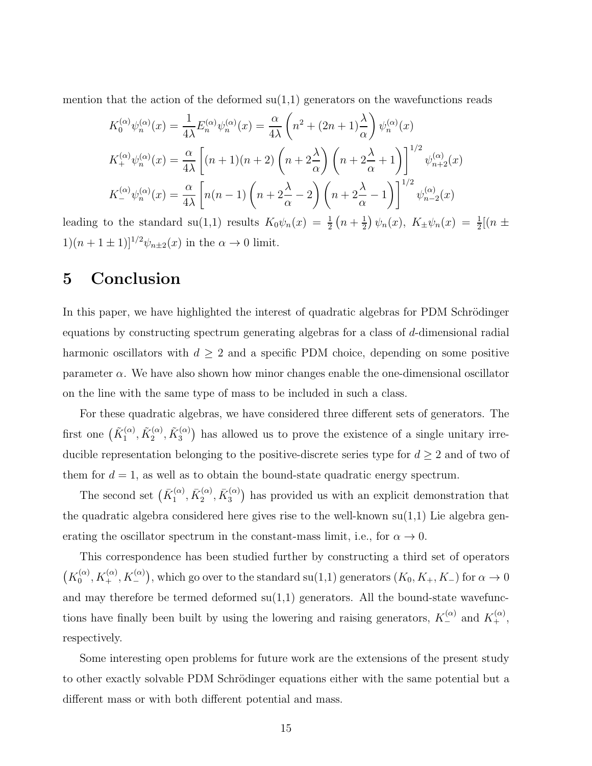mention that the action of the deformed  $su(1,1)$  generators on the wavefunctions reads

$$
K_0^{(\alpha)} \psi_n^{(\alpha)}(x) = \frac{1}{4\lambda} E_n^{(\alpha)} \psi_n^{(\alpha)}(x) = \frac{\alpha}{4\lambda} \left( n^2 + (2n+1)\frac{\lambda}{\alpha} \right) \psi_n^{(\alpha)}(x)
$$
  

$$
K_+^{(\alpha)} \psi_n^{(\alpha)}(x) = \frac{\alpha}{4\lambda} \left[ (n+1)(n+2) \left( n+2\frac{\lambda}{\alpha} \right) \left( n+2\frac{\lambda}{\alpha}+1 \right) \right]^{1/2} \psi_{n+2}^{(\alpha)}(x)
$$
  

$$
K_-^{(\alpha)} \psi_n^{(\alpha)}(x) = \frac{\alpha}{4\lambda} \left[ n(n-1) \left( n+2\frac{\lambda}{\alpha}-2 \right) \left( n+2\frac{\lambda}{\alpha}-1 \right) \right]^{1/2} \psi_{n-2}^{(\alpha)}(x)
$$

leading to the standard su(1,1) results  $K_0\psi_n(x) = \frac{1}{2}(n + \frac{1}{2})$  $(\frac{1}{2}) \psi_n(x), K_{\pm} \psi_n(x) = \frac{1}{2} [(n \pm$  $1)(n + 1 \pm 1)$ <sup> $1/2$ </sup> $\psi$ <sub>n $\pm 2$ </sub> $(x)$  in the  $\alpha \rightarrow 0$  limit.

## 5 Conclusion

In this paper, we have highlighted the interest of quadratic algebras for PDM Schrödinger equations by constructing spectrum generating algebras for a class of d-dimensional radial harmonic oscillators with  $d \geq 2$  and a specific PDM choice, depending on some positive parameter  $\alpha$ . We have also shown how minor changes enable the one-dimensional oscillator on the line with the same type of mass to be included in such a class.

For these quadratic algebras, we have considered three different sets of generators. The first one  $(\tilde{K}^{(\alpha)}_1)$  $\tilde{\Lambda}_1^{(\alpha)},\tilde{K}_2^{(\alpha)}$  $\tilde{\gamma}_2^{(\alpha)},\tilde{K}_3^{(\alpha)}$  $\binom{(\alpha)}{3}$  has allowed us to prove the existence of a single unitary irreducible representation belonging to the positive-discrete series type for  $d \geq 2$  and of two of them for  $d = 1$ , as well as to obtain the bound-state quadratic energy spectrum.

The second set  $(\bar{K}_1^{(\alpha)}$  $\bar{K}_1^{(\alpha)},\bar{K}_2^{(\alpha)}$  $\bar{K}^{(\alpha)}_2, \bar{K}^{(\alpha)}_3$  $\binom{(\alpha)}{3}$  has provided us with an explicit demonstration that the quadratic algebra considered here gives rise to the well-known  $su(1,1)$  Lie algebra generating the oscillator spectrum in the constant-mass limit, i.e., for  $\alpha \to 0$ .

This correspondence has been studied further by constructing a third set of operators  $(K_0^{(\alpha)}$  $\mathcal{L}_0^{(\alpha)}, K_+^{(\alpha)}, K_-^{(\alpha)}$ , which go over to the standard su(1,1) generators  $(K_0, K_+, K_-)$  for  $\alpha \to 0$ and may therefore be termed deformed  $su(1,1)$  generators. All the bound-state wavefunctions have finally been built by using the lowering and raising generators,  $K_{-}^{(\alpha)}$  and  $K_{+}^{(\alpha)}$ , respectively.

Some interesting open problems for future work are the extensions of the present study to other exactly solvable PDM Schrödinger equations either with the same potential but a different mass or with both different potential and mass.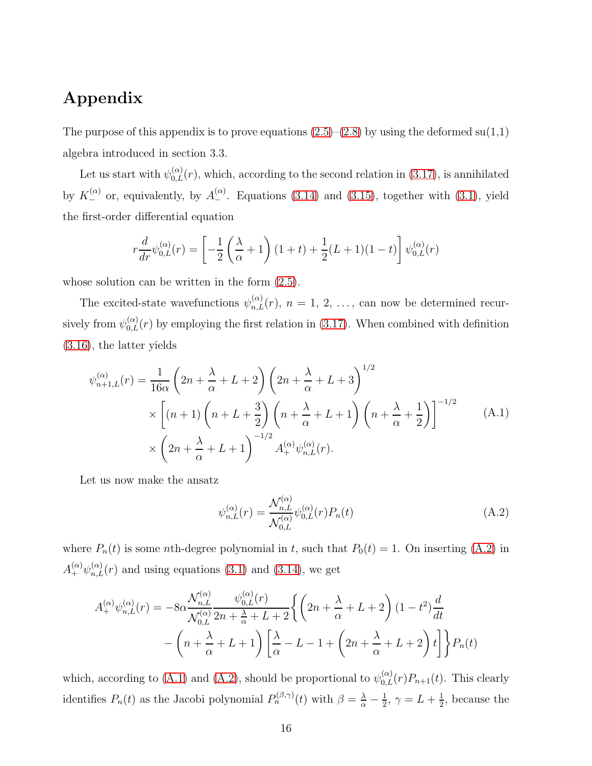## Appendix

The purpose of this appendix is to prove equations  $(2.5)$ – $(2.8)$  by using the deformed su $(1,1)$ algebra introduced in section 3.3.

Let us start with  $\psi^{(\alpha)}_{0,L}(r)$ , which, according to the second relation in [\(3.17\)](#page-11-0), is annihilated by  $K_{-}^{(\alpha)}$  or, equivalently, by  $A_{-}^{(\alpha)}$ . Equations [\(3.14\)](#page-10-2) and [\(3.15\)](#page-10-3), together with [\(3.1\)](#page-5-1), yield the first-order differential equation

$$
r\frac{d}{dr}\psi_{0,L}^{(\alpha)}(r) = \left[ -\frac{1}{2}\left(\frac{\lambda}{\alpha} + 1\right)(1+t) + \frac{1}{2}(L+1)(1-t) \right] \psi_{0,L}^{(\alpha)}(r)
$$

whose solution can be written in the form [\(2.5\)](#page-4-5).

The excited-state wavefunctions  $\psi_{n,L}^{(\alpha)}(r)$ ,  $n = 1, 2, \ldots$ , can now be determined recursively from  $\psi_{0,L}^{(\alpha)}(r)$  by employing the first relation in [\(3.17\)](#page-11-0). When combined with definition [\(3.16\)](#page-10-1), the latter yields

<span id="page-15-1"></span>
$$
\psi_{n+1,L}^{(\alpha)}(r) = \frac{1}{16\alpha} \left( 2n + \frac{\lambda}{\alpha} + L + 2 \right) \left( 2n + \frac{\lambda}{\alpha} + L + 3 \right)^{1/2} \times \left[ (n+1) \left( n + L + \frac{3}{2} \right) \left( n + \frac{\lambda}{\alpha} + L + 1 \right) \left( n + \frac{\lambda}{\alpha} + \frac{1}{2} \right) \right]^{-1/2} \times \left( 2n + \frac{\lambda}{\alpha} + L + 1 \right)^{-1/2} A_+^{(\alpha)} \psi_{n,L}^{(\alpha)}(r).
$$
\n(A.1)

Let us now make the ansatz

<span id="page-15-0"></span>
$$
\psi_{n,L}^{(\alpha)}(r) = \frac{\mathcal{N}_{n,L}^{(\alpha)}}{\mathcal{N}_{0,L}^{(\alpha)}} \psi_{0,L}^{(\alpha)}(r) P_n(t) \tag{A.2}
$$

where  $P_n(t)$  is some *n*th-degree polynomial in t, such that  $P_0(t) = 1$ . On inserting [\(A.2\)](#page-15-0) in  $A_{+}^{(\alpha)}\psi_{n,L}^{(\alpha)}(r)$  and using equations [\(3.1\)](#page-5-1) and [\(3.14\)](#page-10-2), we get

$$
A_{+}^{(\alpha)}\psi_{n,L}^{(\alpha)}(r) = -8\alpha \frac{\mathcal{N}_{n,L}^{(\alpha)}}{\mathcal{N}_{0,L}^{(\alpha)}} \frac{\psi_{0,L}^{(\alpha)}(r)}{2n + \frac{\lambda}{\alpha} + L + 2} \left\{ \left( 2n + \frac{\lambda}{\alpha} + L + 2 \right) (1 - t^2) \frac{d}{dt} - \left( n + \frac{\lambda}{\alpha} + L + 1 \right) \left[ \frac{\lambda}{\alpha} - L - 1 + \left( 2n + \frac{\lambda}{\alpha} + L + 2 \right) t \right] \right\} P_n(t)
$$

which, according to [\(A.1\)](#page-15-1) and [\(A.2\)](#page-15-0), should be proportional to  $\psi_{0,L}^{(\alpha)}(r)P_{n+1}(t)$ . This clearly identifies  $P_n(t)$  as the Jacobi polynomial  $P_n^{(\beta,\gamma)}(t)$  with  $\beta = \frac{\lambda}{\alpha} - \frac{1}{2}$  $\frac{1}{2}$ ,  $\gamma = L + \frac{1}{2}$  $\frac{1}{2}$ , because the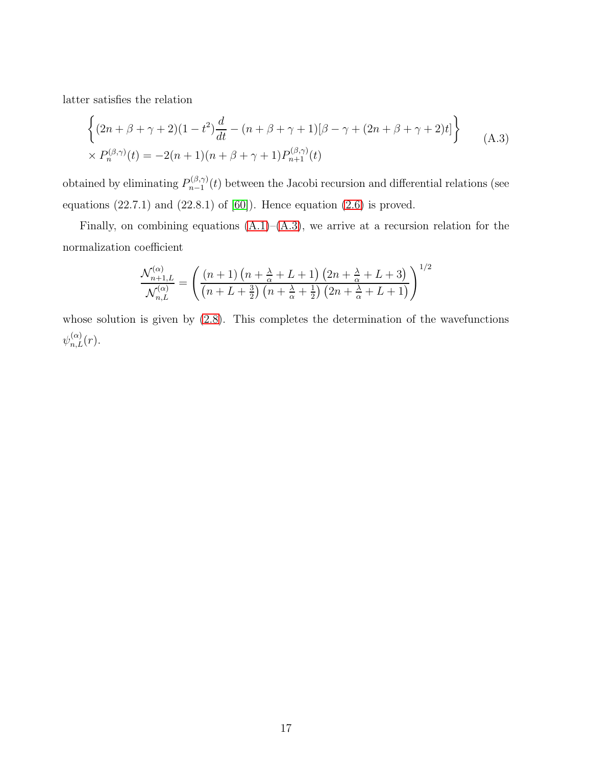latter satisfies the relation

<span id="page-16-0"></span>
$$
\begin{cases}\n(2n + \beta + \gamma + 2)(1 - t^2)\frac{d}{dt} - (n + \beta + \gamma + 1)[\beta - \gamma + (2n + \beta + \gamma + 2)t] \\
\times P_n^{(\beta,\gamma)}(t) = -2(n + 1)(n + \beta + \gamma + 1)P_{n+1}^{(\beta,\gamma)}(t)\n\end{cases} (A.3)
$$

obtained by eliminating  $P_{n-1}^{(\beta,\gamma)}$  $n_{n-1}^{(p,\gamma)}(t)$  between the Jacobi recursion and differential relations (see equations  $(22.7.1)$  and  $(22.8.1)$  of  $[60]$ ). Hence equation  $(2.6)$  is proved.

Finally, on combining equations  $(A.1)$ – $(A.3)$ , we arrive at a recursion relation for the normalization coefficient

$$
\frac{\mathcal{N}_{n+1,L}^{(\alpha)}}{\mathcal{N}_{n,L}^{(\alpha)}} = \left(\frac{(n+1)\left(n+\frac{\lambda}{\alpha}+L+1\right)\left(2n+\frac{\lambda}{\alpha}+L+3\right)}{\left(n+L+\frac{3}{2}\right)\left(n+\frac{\lambda}{\alpha}+\frac{1}{2}\right)\left(2n+\frac{\lambda}{\alpha}+L+1\right)}\right)^{1/2}
$$

whose solution is given by  $(2.8)$ . This completes the determination of the wavefunctions  $\psi_{n,L}^{(\alpha)}(r)$ .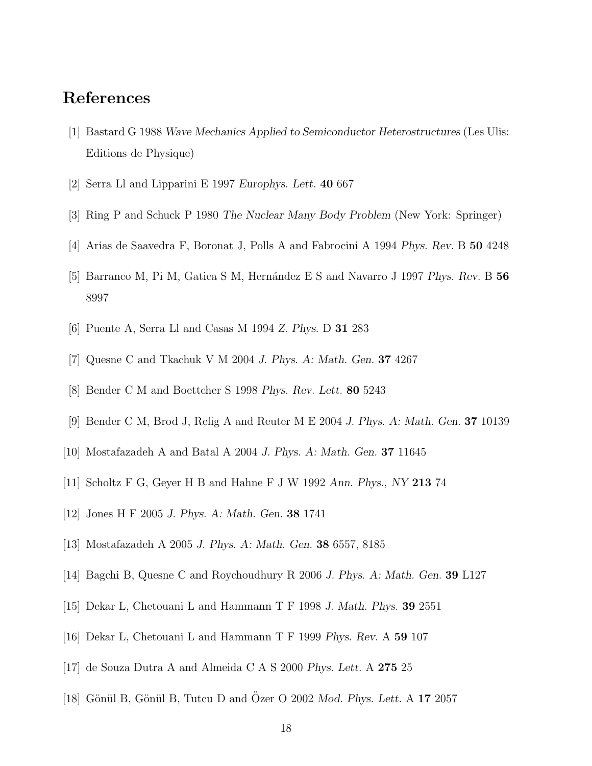### <span id="page-17-0"></span>References

- <span id="page-17-1"></span>[1] Bastard G 1988 *Wave Mechanics Applied to Semiconductor Heterostructures* (Les Ulis: Editions de Physique)
- <span id="page-17-2"></span>[2] Serra Ll and Lipparini E 1997 *Europhys. Lett.* 40 667
- <span id="page-17-3"></span>[3] Ring P and Schuck P 1980 *The Nuclear Many Body Problem* (New York: Springer)
- <span id="page-17-4"></span>[4] Arias de Saavedra F, Boronat J, Polls A and Fabrocini A 1994 *Phys. Rev.* B 50 4248
- <span id="page-17-5"></span>[5] Barranco M, Pi M, Gatica S M, Hern´andez E S and Navarro J 1997 *Phys. Rev.* B 56 8997
- <span id="page-17-6"></span>[6] Puente A, Serra Ll and Casas M 1994 *Z. Phys.* D 31 283
- <span id="page-17-7"></span>[7] Quesne C and Tkachuk V M 2004 *J. Phys. A: Math. Gen.* 37 4267
- <span id="page-17-8"></span>[8] Bender C M and Boettcher S 1998 *Phys. Rev. Lett.* 80 5243
- <span id="page-17-9"></span>[9] Bender C M, Brod J, Refig A and Reuter M E 2004 *J. Phys. A: Math. Gen.* 37 10139
- <span id="page-17-10"></span>[10] Mostafazadeh A and Batal A 2004 *J. Phys. A: Math. Gen.* 37 11645
- <span id="page-17-11"></span>[11] Scholtz F G, Geyer H B and Hahne F J W 1992 *Ann. Phys., NY* 213 74
- <span id="page-17-12"></span>[12] Jones H F 2005 *J. Phys. A: Math. Gen.* 38 1741
- <span id="page-17-13"></span>[13] Mostafazadeh A 2005 *J. Phys. A: Math. Gen.* 38 6557, 8185
- <span id="page-17-14"></span>[14] Bagchi B, Quesne C and Roychoudhury R 2006 *J. Phys. A: Math. Gen.* 39 L127
- <span id="page-17-15"></span>[15] Dekar L, Chetouani L and Hammann T F 1998 *J. Math. Phys.* 39 2551
- <span id="page-17-16"></span>[16] Dekar L, Chetouani L and Hammann T F 1999 *Phys. Rev.* A 59 107
- <span id="page-17-17"></span>[17] de Souza Dutra A and Almeida C A S 2000 *Phys. Lett.* A 275 25
- [18] Gönül B, Gönül B, Tutcu D and Özer O 2002 Mod. Phys. Lett. A 17 2057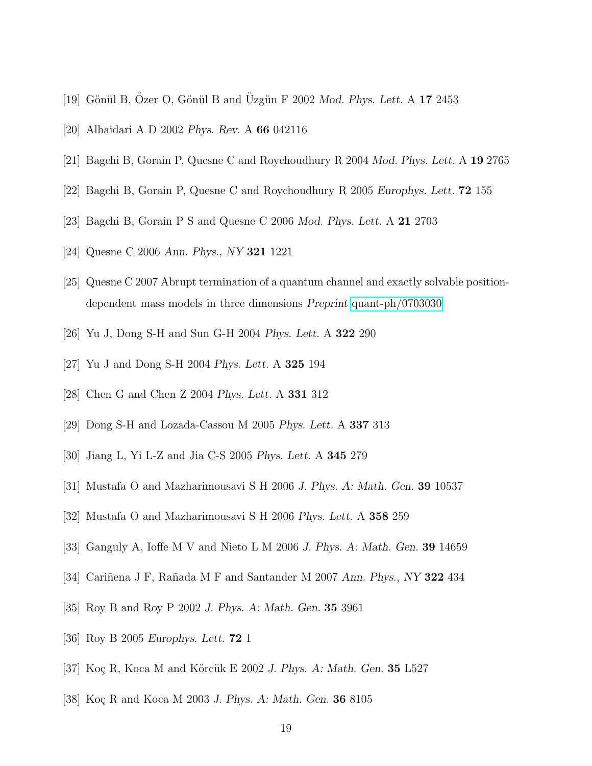- <span id="page-18-1"></span><span id="page-18-0"></span>[19] Gönül B, Özer O, Gönül B and Üzgün F  $2002$  *Mod. Phys. Lett.* A 17 2453
- <span id="page-18-2"></span>[20] Alhaidari A D 2002 *Phys. Rev.* A 66 042116
- <span id="page-18-3"></span>[21] Bagchi B, Gorain P, Quesne C and Roychoudhury R 2004 *Mod. Phys. Lett.* A 19 2765
- <span id="page-18-4"></span>[22] Bagchi B, Gorain P, Quesne C and Roychoudhury R 2005 *Europhys. Lett.* 72 155
- <span id="page-18-5"></span>[23] Bagchi B, Gorain P S and Quesne C 2006 *Mod. Phys. Lett.* A 21 2703
- <span id="page-18-6"></span>[24] Quesne C 2006 *Ann. Phys., NY* 321 1221
- <span id="page-18-7"></span>[25] Quesne C 2007 Abrupt termination of a quantum channel and exactly solvable positiondependent mass models in three dimensions *Preprint* [quant-ph/0703030](http://arxiv.org/abs/quant-ph/0703030)
- <span id="page-18-8"></span>[26] Yu J, Dong S-H and Sun G-H 2004 *Phys. Lett.* A 322 290
- <span id="page-18-9"></span>[27] Yu J and Dong S-H 2004 *Phys. Lett.* A 325 194
- <span id="page-18-10"></span>[28] Chen G and Chen Z 2004 *Phys. Lett.* A 331 312
- <span id="page-18-11"></span>[29] Dong S-H and Lozada-Cassou M 2005 *Phys. Lett.* A 337 313
- <span id="page-18-12"></span>[30] Jiang L, Yi L-Z and Jia C-S 2005 *Phys. Lett.* A 345 279
- <span id="page-18-13"></span>[31] Mustafa O and Mazharimousavi S H 2006 *J. Phys. A: Math. Gen.* 39 10537
- <span id="page-18-14"></span>[32] Mustafa O and Mazharimousavi S H 2006 *Phys. Lett.* A 358 259
- <span id="page-18-15"></span>[33] Ganguly A, Ioffe M V and Nieto L M 2006 *J. Phys. A: Math. Gen.* 39 14659
- <span id="page-18-16"></span>[34] Cari˜nena J F, Ra˜nada M F and Santander M 2007 *Ann. Phys., NY* 322 434
- <span id="page-18-17"></span>[35] Roy B and Roy P 2002 *J. Phys. A: Math. Gen.* 35 3961
- <span id="page-18-18"></span>[36] Roy B 2005 *Europhys. Lett.* 72 1
- <span id="page-18-19"></span>[37] Koç R, Koca M and Körcük E 2002 *J. Phys. A: Math. Gen.* **35** L527
- [38] Koç R and Koca M 2003 *J. Phys. A: Math. Gen.* **36** 8105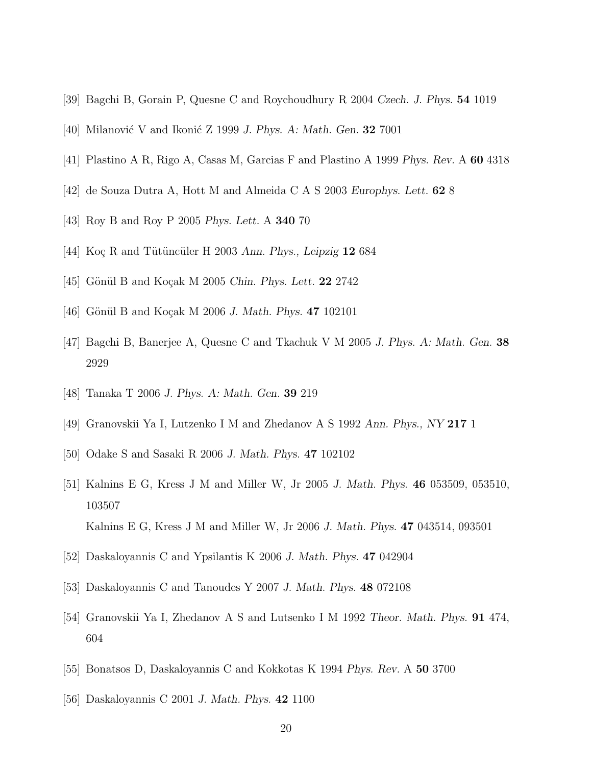- <span id="page-19-1"></span><span id="page-19-0"></span>[39] Bagchi B, Gorain P, Quesne C and Roychoudhury R 2004 *Czech. J. Phys.* 54 1019
- <span id="page-19-2"></span>[40] Milanović V and Ikonić Z 1999 *J. Phys. A: Math. Gen.* **32** 7001
- <span id="page-19-3"></span>[41] Plastino A R, Rigo A, Casas M, Garcias F and Plastino A 1999 *Phys. Rev.* A 60 4318
- <span id="page-19-4"></span>[42] de Souza Dutra A, Hott M and Almeida C A S 2003 *Europhys. Lett.* 62 8
- <span id="page-19-5"></span>[43] Roy B and Roy P 2005 *Phys. Lett.* A 340 70
- <span id="page-19-6"></span>[44] Koç R and Tütüncüler H 2003 *Ann. Phys., Leipzig* 12 684
- <span id="page-19-7"></span>[45] Gönül B and Koçak M 2005 *Chin. Phys. Lett.* **22** 2742
- <span id="page-19-8"></span>[46] Gönül B and Koçak M 2006 *J. Math. Phys.* **47** 102101
- <span id="page-19-9"></span>[47] Bagchi B, Banerjee A, Quesne C and Tkachuk V M 2005 *J. Phys. A: Math. Gen.* 38 2929
- <span id="page-19-10"></span>[48] Tanaka T 2006 *J. Phys. A: Math. Gen.* 39 219
- <span id="page-19-11"></span>[49] Granovskii Ya I, Lutzenko I M and Zhedanov A S 1992 *Ann. Phys., NY* 217 1
- <span id="page-19-12"></span>[50] Odake S and Sasaki R 2006 *J. Math. Phys.* 47 102102
- [51] Kalnins E G, Kress J M and Miller W, Jr 2005 *J. Math. Phys.* 46 053509, 053510, 103507 Kalnins E G, Kress J M and Miller W, Jr 2006 *J. Math. Phys.* 47 043514, 093501
- <span id="page-19-14"></span><span id="page-19-13"></span>[52] Daskaloyannis C and Ypsilantis K 2006 *J. Math. Phys.* 47 042904
- <span id="page-19-15"></span>[53] Daskaloyannis C and Tanoudes Y 2007 *J. Math. Phys.* 48 072108
- <span id="page-19-16"></span>[54] Granovskii Ya I, Zhedanov A S and Lutsenko I M 1992 *Theor. Math. Phys.* 91 474, 604
- <span id="page-19-17"></span>[55] Bonatsos D, Daskaloyannis C and Kokkotas K 1994 *Phys. Rev.* A 50 3700
- [56] Daskaloyannis C 2001 *J. Math. Phys.* 42 1100